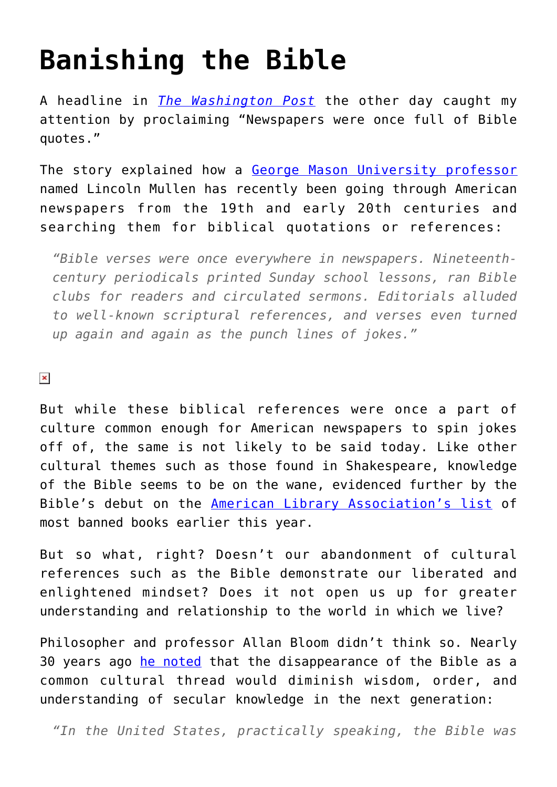## **[Banishing the Bible](https://intellectualtakeout.org/2016/08/banishing-the-bible/)**

A headline in *[The Washington Post](https://www.washingtonpost.com/news/acts-of-faith/wp/2016/08/03/newspapers-were-once-full-of-bible-quotes-and-a-local-professors-tool-lets-us-learn-from-them/)* the other day caught my attention by proclaiming "Newspapers were once full of Bible quotes."

The story explained how a [George Mason University professor](http://americaspublicbible.org/) named Lincoln Mullen has recently been going through American newspapers from the 19th and early 20th centuries and searching them for biblical quotations or references:

*"Bible verses were once everywhere in newspapers. Nineteenthcentury periodicals printed Sunday school lessons, ran Bible clubs for readers and circulated sermons. Editorials alluded to well-known scriptural references, and verses even turned up again and again as the punch lines of jokes."*

 $\pmb{\times}$ 

But while these biblical references were once a part of culture common enough for American newspapers to spin jokes off of, the same is not likely to be said today. Like other cultural themes such as those found in Shakespeare, knowledge of the Bible seems to be on the wane, evidenced further by the Bible's debut on the [American Library Association's list](http://www.ala.org/bbooks/frequentlychallengedbooks) of most banned books earlier this year.

But so what, right? Doesn't our abandonment of cultural references such as the Bible demonstrate our liberated and enlightened mindset? Does it not open us up for greater understanding and relationship to the world in which we live?

Philosopher and professor Allan Bloom didn't think so. Nearly 30 years ago [he noted](https://www.amazon.com/gp/product/1451683200/ref=as_li_qf_sp_asin_il_tl?ie=UTF8&tag=intelltakeo0d-20&camp=1789&creative=9325&linkCode=as2&creativeASIN=1451683200&linkId=fd9266f9fbb3c61431206c75e475d536) that the disappearance of the Bible as a common cultural thread would diminish wisdom, order, and understanding of secular knowledge in the next generation:

*"In the United States, practically speaking, the Bible was*